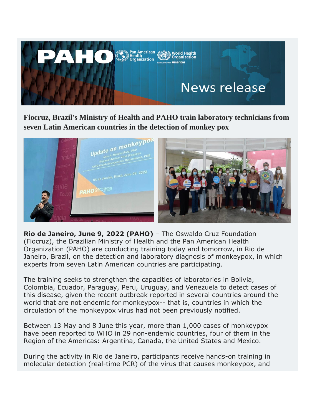

**Fiocruz, Brazil's Ministry of Health and PAHO train laboratory technicians from seven Latin American countries in the detection of monkey pox**



**Rio de Janeiro, June 9, 2022 (PAHO)** – The Oswaldo Cruz Foundation (Fiocruz), the Brazilian Ministry of Health and the Pan American Health Organization (PAHO) are conducting training today and tomorrow, in Rio de Janeiro, Brazil, on the detection and laboratory diagnosis of monkeypox, in which experts from seven Latin American countries are participating.

The training seeks to strengthen the capacities of laboratories in Bolivia, Colombia, Ecuador, Paraguay, Peru, Uruguay, and Venezuela to detect cases of this disease, given the recent outbreak reported in several countries around the world that are not endemic for monkeypox-- that is, countries in which the circulation of the monkeypox virus had not been previously notified.

Between 13 May and 8 June this year, more than 1,000 cases of monkeypox have been reported to WHO in 29 non-endemic countries, four of them in the Region of the Americas: Argentina, Canada, the United States and Mexico.

During the activity in Rio de Janeiro, participants receive hands-on training in molecular detection (real-time PCR) of the virus that causes monkeypox, and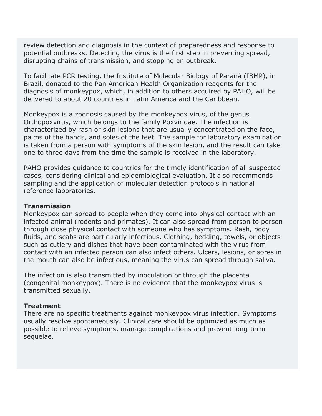review detection and diagnosis in the context of preparedness and response to potential outbreaks. Detecting the virus is the first step in preventing spread, disrupting chains of transmission, and stopping an outbreak.

To facilitate PCR testing, the Institute of Molecular Biology of Paraná (IBMP), in Brazil, donated to the Pan American Health Organization reagents for the diagnosis of monkeypox, which, in addition to others acquired by PAHO, will be delivered to about 20 countries in Latin America and the Caribbean.

Monkeypox is a zoonosis caused by the monkeypox virus, of the genus Orthopoxvirus, which belongs to the family Poxviridae. The infection is characterized by rash or skin lesions that are usually concentrated on the face, palms of the hands, and soles of the feet. The sample for laboratory examination is taken from a person with symptoms of the skin lesion, and the result can take one to three days from the time the sample is received in the laboratory.

PAHO provides guidance to countries for the timely identification of all suspected cases, considering clinical and epidemiological evaluation. It also recommends sampling and the application of molecular detection protocols in national reference laboratories.

## **Transmission**

Monkeypox can spread to people when they come into physical contact with an infected animal (rodents and primates). It can also spread from person to person through close physical contact with someone who has symptoms. Rash, body fluids, and scabs are particularly infectious. Clothing, bedding, towels, or objects such as cutlery and dishes that have been contaminated with the virus from contact with an infected person can also infect others. Ulcers, lesions, or sores in the mouth can also be infectious, meaning the virus can spread through saliva.

The infection is also transmitted by inoculation or through the placenta (congenital monkeypox). There is no evidence that the monkeypox virus is transmitted sexually.

## **Treatment**

There are no specific treatments against monkeypox virus infection. Symptoms usually resolve spontaneously. Clinical care should be optimized as much as possible to relieve symptoms, manage complications and prevent long-term sequelae.